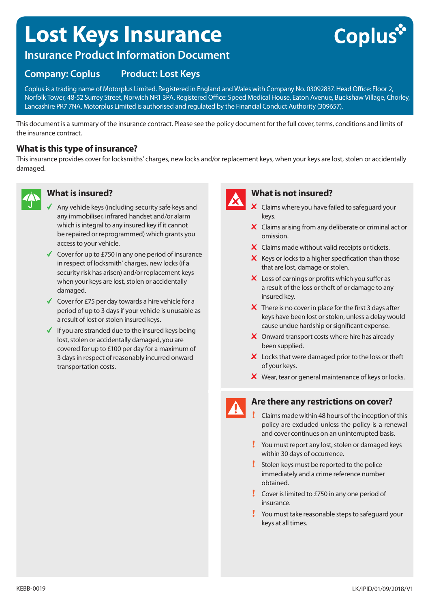## **Lost Keys Insurance**

# Coplus

## **Insurance Product Information Document**

## **Company: Coplus Product: Lost Keys**

Coplus is a trading name of Motorplus Limited. Registered in England and Wales with Company No. 03092837. Head Office: Floor 2, Norfolk Tower, 48-52 Surrey Street, Norwich NR1 3PA. Registered Office: Speed Medical House, Eaton Avenue, Buckshaw Village, Chorley, Lancashire PR7 7NA. Motorplus Limited is authorised and regulated by the Financial Conduct Authority (309657).

This document is a summary of the insurance contract. Please see the policy document for the full cover, terms, conditions and limits of the insurance contract.

#### **What is this type of insurance?**

This insurance provides cover for locksmiths' charges, new locks and/or replacement keys, when your keys are lost, stolen or accidentally damaged.



#### **What is insured?**

- Any vehicle keys (including security safe keys and any immobiliser, infrared handset and/or alarm which is integral to any insured key if it cannot be repaired or reprogrammed) which grants you access to your vehicle.
- $\checkmark$  Cover for up to £750 in any one period of insurance in respect of locksmith' charges, new locks (if a security risk has arisen) and/or replacement keys when your keys are lost, stolen or accidentally damaged.
- $\checkmark$  Cover for £75 per day towards a hire vehicle for a period of up to 3 days if your vehicle is unusable as a result of lost or stolen insured keys.
- $\checkmark$  If you are stranded due to the insured keys being lost, stolen or accidentally damaged, you are covered for up to £100 per day for a maximum of 3 days in respect of reasonably incurred onward transportation costs.



#### **What is not insured?**

- X Claims where you have failed to safeguard your keys.
- X Claims arising from any deliberate or criminal act or omission.
- $\boldsymbol{\times}$  Claims made without valid receipts or tickets.
- $\boldsymbol{\times}$  Keys or locks to a higher specification than those that are lost, damage or stolen.
- X Loss of earnings or profits which you suffer as a result of the loss or theft of or damage to any insured key.
- $\boldsymbol{\times}$  There is no cover in place for the first 3 days after keys have been lost or stolen, unless a delay would cause undue hardship or significant expense.
- X Onward transport costs where hire has already been supplied.
- X Locks that were damaged prior to the loss or theft of your keys.
- $\boldsymbol{\times}$  Wear, tear or general maintenance of keys or locks.

### **Are there any restrictions on cover?**

- Claims made within 48 hours of the inception of this policy are excluded unless the policy is a renewal and cover continues on an uninterrupted basis.
- You must report any lost, stolen or damaged keys within 30 days of occurrence.
- Stolen keys must be reported to the police immediately and a crime reference number obtained.
- **Cover is limited to £750 in any one period of** insurance.
- You must take reasonable steps to safeguard your keys at all times.